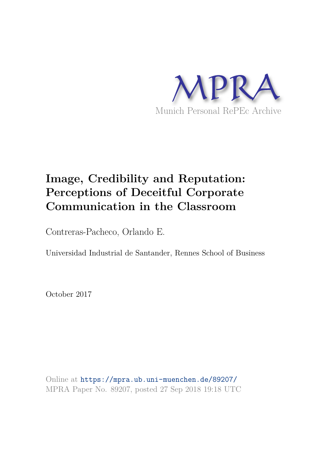

# **Image, Credibility and Reputation: Perceptions of Deceitful Corporate Communication in the Classroom**

Contreras-Pacheco, Orlando E.

Universidad Industrial de Santander, Rennes School of Business

October 2017

Online at https://mpra.ub.uni-muenchen.de/89207/ MPRA Paper No. 89207, posted 27 Sep 2018 19:18 UTC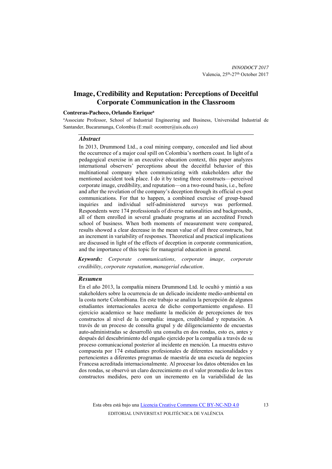# **Image, Credibility and Reputation: Perceptions of Deceitful Corporate Communication in the Classroom**

#### **Contreras-Pacheco, Orlando Enrique<sup>a</sup>**

<sup>a</sup>Associate Professor, School of Industrial Engineering and Business, Universidad Industrial de Santander, Bucaramanga, Colombia (E:mail: ocontrer@uis.edu.co)

#### *Abstract*

In 2013, Drummond Ltd., a coal mining company, concealed and lied about the occurrence of a major coal spill on Colombia's northern coast. In light of a pedagogical exercise in an executive education context, this paper analyzes international observers' perceptions about the deceitful behavior of this multinational company when communicating with stakeholders after the mentioned accident took place. I do it by testing three constructs—perceived corporate image, credibility, and reputation—on a two-round basis, i.e., before and after the revelation of the company's deception through its official ex-post communications. For that to happen, a combined exercise of group-based inquiries and individual self-administered surveys was performed. Respondents were 174 professionals of diverse nationalities and backgrounds, all of them enrolled in several graduate programs at an accredited French school of business. When both moments of measurement were compared, results showed a clear decrease in the mean value of all three constructs, but an increment in variability of responses. Theoretical and practical implications are discussed in light of the effects of deception in corporate communication, and the importance of this topic for managerial education in general.

*Keywords: Corporate communications, corporate image, corporate credibility, corporate reputation, managerial education.* 

## *Resumen*

En el año 2013, la compañía minera Drummond Ltd. le ocultó y mintió a sus stakeholders sobre la ocurrencia de un delicado incidente medio-ambiental en la costa norte Colombiana. En este trabajo se analiza la percepción de algunos estudiantes internacionales acerca de dicho comportamiento engañoso. El ejercicio academico se hace mediante la medición de percepciones de tres constructos al nivel de la compañía: imagen, credibilidad y reputación. A través de un proceso de consulta grupal y de diligenciamiento de encuestas auto-administradas se desarrolló una consulta en dos rondas, esto es, antes y después del descubrimiento del engaño ejercido por la compañía a través de su proceso comunicacional posterior al incidente en mención. La muestra estuvo compuesta por 174 estudiantes profesionales de diferentes nacionalidades y pertencientes a diferentes programas de maestría de una escuela de negocios Francesa acreditada internacionalmente. Al procesar los datos obtenidos en las dos rondas, se observó un claro decrecimiento en el valor promedio de los tres constructos medidos, pero con un incremento en la variabilidad de las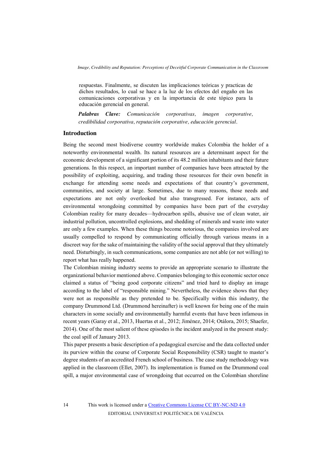respuestas. Finalmente, se discuten las implicaciones teóricas y practicas de dichos resultados, lo cual se hace a la luz de los efectos del engaño en las comunicaciones corporativas y en la importancia de este tópico para la educación gerencial en general.

*Palabras Clave: Comunicación corporativas, imagen corporative, credibilidad corporativa, reputación corporative, educación gerencial.* 

## **Introduction**

Being the second most biodiverse country worldwide makes Colombia the holder of a noteworthy environmental wealth. Its natural resources are a determinant aspect for the economic development of a significant portion of its 48.2 million inhabitants and their future generations. In this respect, an important number of companies have been attracted by the possibility of exploiting, acquiring, and trading those resources for their own benefit in exchange for attending some needs and expectations of that country's government, communities, and society at large. Sometimes, due to many reasons, those needs and expectations are not only overlooked but also transgressed. For instance, acts of environmental wrongdoing committed by companies have been part of the everyday Colombian reality for many decades—hydrocarbon spills, abusive use of clean water, air industrial pollution, uncontrolled explosions, and shedding of minerals and waste into water are only a few examples. When these things become notorious, the companies involved are usually compelled to respond by communicating officially through various means in a discreet way for the sake of maintaining the validity of the social approval that they ultimately need. Disturbingly, in such communications, some companies are not able (or not willing) to report what has really happened.

The Colombian mining industry seems to provide an appropriate scenario to illustrate the organizational behavior mentioned above. Companies belonging to this economic sector once claimed a status of "being good corporate citizens" and tried hard to display an image according to the label of "responsible mining." Nevertheless, the evidence shows that they were not as responsible as they pretended to be. Specifically within this industry, the company Drummond Ltd. (Drummond hereinafter) is well known for being one of the main characters in some socially and environmentally harmful events that have been infamous in recent years (Garay et al., 2013, Huertas et al., 2012; Jiménez, 2014; Otálora, 2015; Shaefer, 2014). One of the most salient of these episodes is the incident analyzed in the present study: the coal spill of January 2013.

This paper presents a basic description of a pedagogical exercise and the data collected under its purview within the course of Corporate Social Responsibility (CSR) taught to master's degree students of an accredited French school of business. The case study methodology was applied in the classroom (Ellet, 2007). Its implementation is framed on the Drummond coal spill, a major environmental case of wrongdoing that occurred on the Colombian shoreline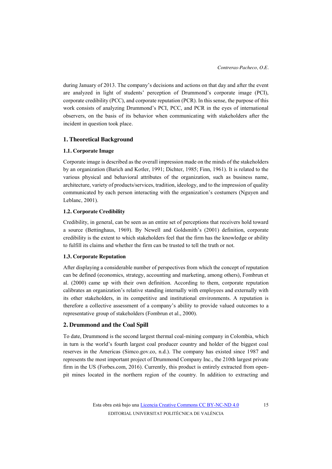during January of 2013. The company's decisions and actions on that day and after the event are analyzed in light of students' perception of Drummond's corporate image (PCI), corporate credibility (PCC), and corporate reputation (PCR). In this sense, the purpose of this work consists of analyzing Drummond's PCI, PCC, and PCR in the eyes of international observers, on the basis of its behavior when communicating with stakeholders after the incident in question took place.

## **1. Theoretical Background**

## **1.1. Corporate Image**

Corporate image is described as the overall impression made on the minds of the stakeholders by an organization (Barich and Kotler, 1991; Dichter, 1985; Finn, 1961). It is related to the various physical and behavioral attributes of the organization, such as business name, architecture, variety of products/services, tradition, ideology, and to the impression of quality communicated by each person interacting with the organization's costumers (Nguyen and Leblanc, 2001).

## **1.2. Corporate Credibility**

Credibility, in general, can be seen as an entire set of perceptions that receivers hold toward a source (Bettinghaus, 1969). By Newell and Goldsmith's (2001) definition, corporate credibility is the extent to which stakeholders feel that the firm has the knowledge or ability to fulfill its claims and whether the firm can be trusted to tell the truth or not.

## **1.3. Corporate Reputation**

After displaying a considerable number of perspectives from which the concept of reputation can be defined (economics, strategy, accounting and marketing, among others), Fombrun et al. (2000) came up with their own definition. According to them, corporate reputation calibrates an organization's relative standing internally with employees and externally with its other stakeholders, in its competitive and institutional environments. A reputation is therefore a collective assessment of a company's ability to provide valued outcomes to a representative group of stakeholders (Fombrun et al., 2000).

## **2. Drummond and the Coal Spill**

To date, Drummond is the second largest thermal coal-mining company in Colombia, which in turn is the world's fourth largest coal producer country and holder of the biggest coal reserves in the Americas (Simco.gov.co, n.d.). The company has existed since 1987 and represents the most important project of Drummond Company Inc., the 210th largest private firm in the US (Forbes.com, 2016). Currently, this product is entirely extracted from openpit mines located in the northern region of the country. In addition to extracting and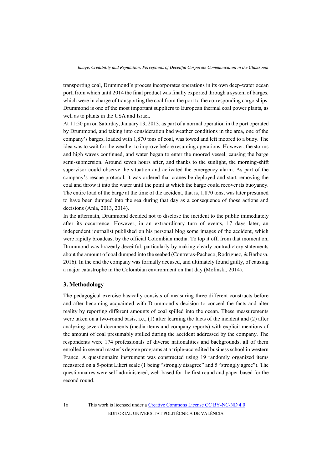transporting coal, Drummond's process incorporates operations in its own deep-water ocean port, from which until 2014 the final product was finally exported through a system of barges, which were in charge of transporting the coal from the port to the corresponding cargo ships. Drummond is one of the most important suppliers to European thermal coal power plants, as well as to plants in the USA and Israel.

At 11:50 pm on Saturday, January 13, 2013, as part of a normal operation in the port operated by Drummond, and taking into consideration bad weather conditions in the area, one of the company's barges, loaded with 1,870 tons of coal, was towed and left moored to a buoy. The idea was to wait for the weather to improve before resuming operations. However, the storms and high waves continued, and water began to enter the moored vessel, causing the barge semi-submersion. Around seven hours after, and thanks to the sunlight, the morning-shift supervisor could observe the situation and activated the emergency alarm. As part of the company's rescue protocol, it was ordered that cranes be deployed and start removing the coal and throw it into the water until the point at which the barge could recover its buoyancy. The entire load of the barge at the time of the accident, that is, 1,870 tons, was later presumed to have been dumped into the sea during that day as a consequence of those actions and decisions (Anla, 2013, 2014).

In the aftermath, Drummond decided not to disclose the incident to the public immediately after its occurrence. However, in an extraordinary turn of events, 17 days later, an independent journalist published on his personal blog some images of the accident, which were rapidly broadcast by the official Colombian media. To top it off, from that moment on, Drummond was brazenly deceitful, particularly by making clearly contradictory statements about the amount of coal dumped into the seabed (Contreras-Pacheco, Rodríguez, & Barbosa, 2016). In the end the company was formally accused, and ultimately found guilty, of causing a major catastrophe in the Colombian environment on that day (Molinski, 2014).

## **3. Methodology**

The pedagogical exercise basically consists of measuring three different constructs before and after becoming acquainted with Drummond's decision to conceal the facts and alter reality by reporting different amounts of coal spilled into the ocean. These measurements were taken on a two-round basis, i.e., (1) after learning the facts of the incident and (2) after analyzing several documents (media items and company reports) with explicit mentions of the amount of coal presumably spilled during the accident addressed by the company. The respondents were 174 professionals of diverse nationalities and backgrounds, all of them enrolled in several master's degree programs at a triple-accredited business school in western France. A questionnaire instrument was constructed using 19 randomly organized items measured on a 5-point Likert scale (1 being "strongly disagree" and 5 "strongly agree"). The questionnaires were self-administered, web-based for the first round and paper-based for the second round.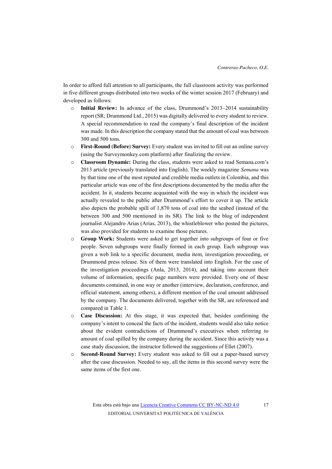In order to afford full attention to all participants, the full classroom activity was performed in five different groups distributed into two weeks of the winter session 2017 (February) and developed as follows:

- o **Initial Review:** In advance of the class, Drummond's 2013–2014 sustainability report (SR; Drummond Ltd., 2015) was digitally delivered to every student to review. A special recommendation to read the company's final description of the incident was made. In this description the company stated that the amount of coal was between 300 and 500 tons.
- o **First-Round (Before) Survey:** Every student was invited to fill out an online survey (using the Surveymonkey.com platform) after finalizing the review.
- o **Classroom Dynamic:** During the class, students were asked to read Semana.com's 2013 article (previously translated into English). The weekly magazine *Semana* was by that time one of the most reputed and credible media outlets in Colombia, and this particular article was one of the first descriptions documented by the media after the accident. In it, students became acquainted with the way in which the incident was actually revealed to the public after Drummond's effort to cover it up. The article also depicts the probable spill of 1,870 tons of coal into the seabed (instead of the between 300 and 500 mentioned in its SR). The link to the blog of independent journalist Alejandro Arias (Arias, 2013), the whistleblower who posted the pictures, was also provided for students to examine those pictures.
- o **Group Work:** Students were asked to get together into subgroups of four or five people. Seven subgroups were finally formed in each group. Each subgroup was given a web link to a specific document, media item, investigation proceeding, or Drummond press release. Six of them were translated into English. For the case of the investigation proceedings (Anla, 2013, 2014), and taking into account their volume of information, specific page numbers were provided. Every one of these documents contained, in one way or another (interview, declaration, conference, and official statement, among others), a different mention of the coal amount addressed by the company. The documents delivered, together with the SR, are referenced and compared in Table 1.
- o **Case Discussion:** At this stage, it was expected that, besides confirming the company's intent to conceal the facts of the incident, students would also take notice about the evident contradictions of Drummond's executives when referring to amount of coal spilled by the company during the accident. Since this activity was a case study discussion, the instructor followed the suggestions of Ellet (2007).
- o **Second-Round Survey:** Every student was asked to fill out a paper-based survey after the case discussion. Needed to say, all the items in this second survey were the same items of the first one.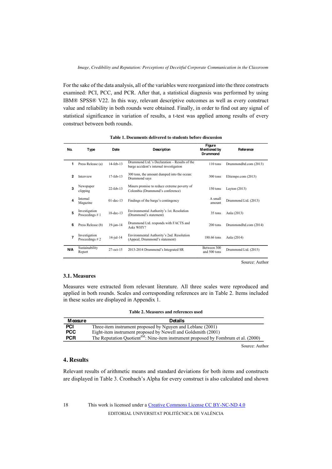For the sake of the data analysis, all of the variables were reorganized into the three constructs examined: PCI, PCC, and PCR. After that, a statistical diagnosis was performed by using IBM® SPSS® V22. In this way, relevant descriptive outcomes as well as every construct value and reliability in both rounds were obtained. Finally, in order to find out any signal of statistical significance in variation of results, a t-test was applied among results of every construct between both rounds.

| No. | Type                            | Date            | Description                                                                             | Figure<br>Mentioned by<br>Drummond | Reference              |  |
|-----|---------------------------------|-----------------|-----------------------------------------------------------------------------------------|------------------------------------|------------------------|--|
| 1   | Press Release (a)               | 14-feb-13       | Drummond Ltd.'s Declaration – Results of the<br>barge accident's internal investigation | 110 tons                           | DrummondItd.com (2013) |  |
| 2   | Interview                       | $17 - feh - 13$ | 300 tons, the amount dumped into the ocean:<br>Drummond says                            | $300$ tons                         | Eltiempo.com (2013)    |  |
| 3   | Newspaper<br>clipping           | $22$ -feb-13    | Miners promise to reduce extreme poverty of<br>Colombia (Drummond's conference)         | $150$ tons                         | Layton $(2013)$        |  |
| 4   | Internal<br>Magazine            | $01-dec-13$     | Findings of the barge's contingency                                                     | A small<br>amount                  | Drummond Ltd. (2013)   |  |
| 5   | Investigation<br>Proceedings #1 | 18-dec-13       | Environmental Authority's 1st. Resolution<br>(Drummond's statement)                     | 35 tons                            | Anla (2013)            |  |
| 6   | Press Release (b)               | $19$ -jan- $14$ | Drummond Ltd. responds with FACTS and<br>Asks WHY?                                      | 200 tons                           | DrummondItd.com (2014) |  |
| 7   | Investigation<br>Proceedings #2 | $14$ -jul- $14$ | Environmental Authority's 2nd. Resolution<br>(Appeal; Drummond's statement)             | 180.66 tons                        | Anla (2014)            |  |
| N/A | Sustainability<br>Report        | $27-oct-15$     | 2013-2014 Drummond's Integrated SR                                                      | Between 300<br>and 500 tons        | Drummond Ltd. (2015)   |  |

Source: Author

#### **3.1. Measures**

Measures were extracted from relevant literature. All three scales were reproduced and applied in both rounds. Scales and corresponding references are in Table 2. Items included in these scales are displayed in Appendix 1.

|  |  | Table 2. Measures and references used |  |
|--|--|---------------------------------------|--|
|--|--|---------------------------------------|--|

| Measure    | <b>Details</b>                                                                                 |
|------------|------------------------------------------------------------------------------------------------|
| PCI        | Three-item instrument proposed by Nguyen and Leblanc (2001)                                    |
| <b>PCC</b> | Eight-item instrument proposed by Newell and Goldsmith (2001)                                  |
| <b>PCR</b> | The Reputation Quotient <sup>SM</sup> : Nine-item instrument proposed by Fombrum et al. (2000) |

Source: Author

#### **4. Results**

Relevant results of arithmetic means and standard deviations for both items and constructs are displayed in Table 3. Cronbach's Alpha for every construct is also calculated and shown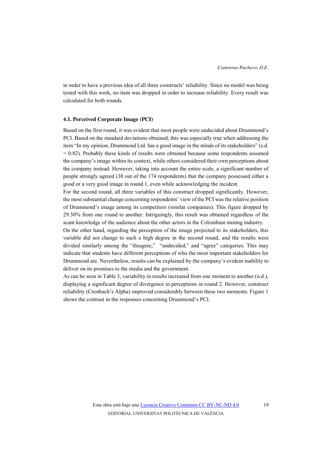in order to have a previous idea of all three constructs' reliability. Since no model was being tested with this work, no item was dropped in order to increase reliability. Every result was calculated for both rounds.

#### **4.1. Perceived Corporate Image (PCI)**

Based on the first round, it was evident that most people were undecided about Drummond's PCI. Based on the standard deviations obtained, this was especially true when addressing the item "In my opinion, Drummond Ltd. has a good image in the minds of its stakeholders" (s.d.  $= 0.82$ ). Probably these kinds of results were obtained because some respondents assumed the company's image within its context, while others considered their own perceptions about the company instead. However, taking into account the entire scale, a significant number of people strongly agreed (38 out of the 174 respondents) that the company possessed either a good or a very good image in round 1, even while acknowledging the incident.

For the second round, all three variables of this construct dropped significantly. However, the most substantial change concerning respondents' view of the PCI was the relative position of Drummond's image among its competitors (similar companies). This figure dropped by 29.30% from one round to another. Intriguingly, this result was obtained regardless of the scant knowledge of the audience about the other actors in the Colombian mining industry.

On the other hand, regarding the perception of the image projected to its stakeholders, this variable did not change to such a high degree in the second round, and the results were divided similarly among the "disagree," "undecided," and "agree" categories. This may indicate that students have different perceptions of who the most important stakeholders for Drummond are. Nevertheless, results can be explained by the company's evident inability to deliver on its promises to the media and the government.

As can be seen in Table 3, variability in results increased from one moment to another (n.d.), displaying a significant degree of divergence in perceptions in round 2. However, construct reliability (Cronbach's Alpha) improved considerably between these two moments. Figure 1 shows the contrast in the responses concerning Drummond's PCI.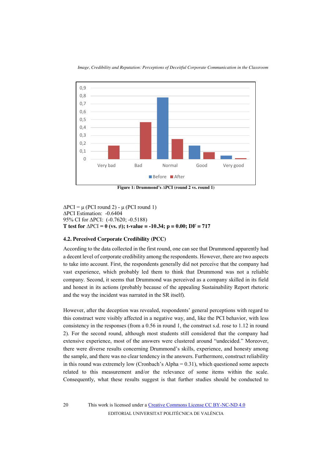

**Figure 1: Drummond's ∆PCI (round 2 vs. round 1)** 

*∆*PCI = μ (PCI round 2) - μ (PCI round 1) *∆*PCI Estimation: -0.6404 95% CI for *∆*PCI: (-0.7620; -0.5188) **T test for** *∆*PCI **= 0 (vs. ≠); t-value = -10.34; p = 0.00; DF = 717** 

## **4.2. Perceived Corporate Credibility (PCC)**

According to the data collected in the first round, one can see that Drummond apparently had a decent level of corporate credibility among the respondents. However, there are two aspects to take into account. First, the respondents generally did not perceive that the company had vast experience, which probably led them to think that Drummond was not a reliable company. Second, it seems that Drummond was perceived as a company skilled in its field and honest in its actions (probably because of the appealing Sustainability Report rhetoric and the way the incident was narrated in the SR itself).

However, after the deception was revealed, respondents' general perceptions with regard to this construct were visibly affected in a negative way, and, like the PCI behavior, with less consistency in the responses (from a 0.56 in round 1, the construct s.d. rose to 1.12 in round 2). For the second round, although most students still considered that the company had extensive experience, most of the answers were clustered around "undecided." Moreover, there were diverse results concerning Drummond's skills, experience, and honesty among the sample, and there was no clear tendency in the answers. Furthermore, construct reliability in this round was extremely low (Cronbach's Alpha  $= 0.31$ ), which questioned some aspects related to this measurement and/or the relevance of some items within the scale. Consequently, what these results suggest is that further studies should be conducted to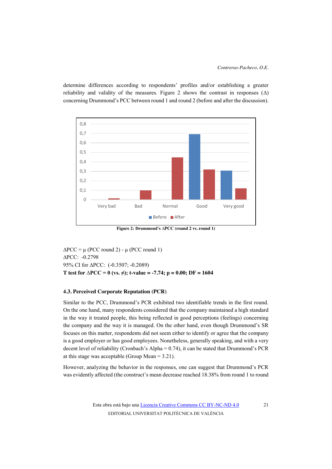determine differences according to respondents' profiles and/or establishing a greater reliability and validity of the measures. Figure 2 shows the contrast in responses  $(\Delta)$ concerning Drummond's PCC between round 1 and round 2 (before and after the discussion).



**Figure 2: Drummond's ∆PCC (round 2 vs. round 1)** 

*∆*PCC = μ (PCC round 2) - μ (PCC round 1) *∆*PCC: -0.2798 95% CI for *∆*PCC: (-0.3507; -0.2089) **T test for** *∆***PCC = 0 (vs. ≠); t-value = -7.74; p = 0.00; DF = 1604** 

## **4.3. Perceived Corporate Reputation (PCR)**

Similar to the PCC, Drummond's PCR exhibited two identifiable trends in the first round. On the one hand, many respondents considered that the company maintained a high standard in the way it treated people, this being reflected in good perceptions (feelings) concerning the company and the way it is managed. On the other hand, even though Drummond's SR focuses on this matter, respondents did not seem either to identify or agree that the company is a good employer or has good employees. Nonetheless, generally speaking, and with a very decent level of reliability (Cronbach's Alpha = 0.74), it can be stated that Drummond's PCR at this stage was acceptable (Group Mean  $= 3.21$ ).

However, analyzing the behavior in the responses, one can suggest that Drummond's PCR was evidently affected (the construct's mean decrease reached 18.38% from round 1 to round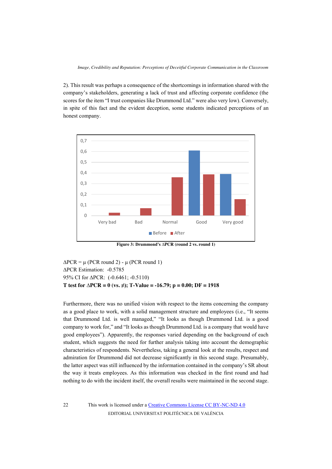2). This result was perhaps a consequence of the shortcomings in information shared with the company's stakeholders, generating a lack of trust and affecting corporate confidence (the scores for the item "I trust companies like Drummond Ltd." were also very low). Conversely, in spite of this fact and the evident deception, some students indicated perceptions of an honest company.



**Figure 3: Drummond's ∆PCR (round 2 vs. round 1)** 

*∆*PCR = μ (PCR round 2) - μ (PCR round 1) *∆*PCR Estimation: -0.5785 95% CI for *∆*PCR: (-0.6461; -0.5110) **T test for** *∆***PCR = 0 (vs. ≠); T-Value = -16.79; p = 0.00; DF = 1918** 

Furthermore, there was no unified vision with respect to the items concerning the company as a good place to work, with a solid management structure and employees (i.e., "It seems that Drummond Ltd. is well managed," "It looks as though Drummond Ltd. is a good company to work for," and "It looks as though Drummond Ltd. is a company that would have good employees"). Apparently, the responses varied depending on the background of each student, which suggests the need for further analysis taking into account the demographic characteristics of respondents. Nevertheless, taking a general look at the results, respect and admiration for Drummond did not decrease significantly in this second stage. Presumably, the latter aspect was still influenced by the information contained in the company's SR about the way it treats employees. As this information was checked in the first round and had nothing to do with the incident itself, the overall results were maintained in the second stage.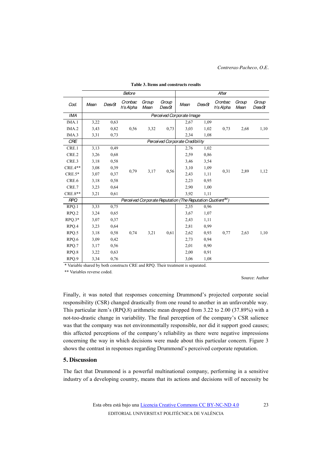|            |                                                                         |        | <b>Before</b>        |               |                 |      |        | After                |               |                 |
|------------|-------------------------------------------------------------------------|--------|----------------------|---------------|-----------------|------|--------|----------------------|---------------|-----------------|
| Cod.       | Mean                                                                    | DesvSt | Cronbac<br>h's Alpha | Group<br>Mean | Group<br>DesvSt | Mean | DesvSt | Cronbac<br>h's Alpha | Group<br>Mean | Group<br>DesvSt |
| <b>IMA</b> | Perceived Corporate Image                                               |        |                      |               |                 |      |        |                      |               |                 |
| IMA.1      | 3,22                                                                    | 0,63   |                      |               |                 | 2,67 | 1,09   |                      |               |                 |
| IMA.2      | 3,43                                                                    | 0,82   | 0,56                 | 3,32          | 0,73            | 3,03 | 1,02   | 0,73                 | 2,68          | 1,10            |
| IMA.3      | 3,31                                                                    | 0,73   |                      |               |                 | 2,34 | 1,08   |                      |               |                 |
| <b>CRE</b> | Perceived Corporate Credibility                                         |        |                      |               |                 |      |        |                      |               |                 |
| CRE.1      | 3,13                                                                    | 0,49   |                      | 3,17          | 0,56            | 2,76 | 1,02   | 0,31                 | 2,89          | 1,12            |
| CRE.2      | 3,26                                                                    | 0,68   |                      |               |                 | 2,59 | 0,86   |                      |               |                 |
| CRE.3      | 3,18                                                                    | 0,58   |                      |               |                 | 3,46 | 3,54   |                      |               |                 |
| $CRE.4**$  | 3,08                                                                    | 0,39   | 0,79                 |               |                 | 3,10 | 1,09   |                      |               |                 |
| $CRE.5*$   | 3,07                                                                    | 0,37   |                      |               |                 | 2,43 | 1,11   |                      |               |                 |
| CRE.6      | 3,18                                                                    | 0.58   |                      |               |                 | 2,23 | 0.95   |                      |               |                 |
| CRE.7      | 3,23                                                                    | 0,64   |                      |               |                 | 2,90 | 1,00   |                      |               |                 |
| CRE.8**    | 3,21                                                                    | 0,61   |                      |               |                 | 3,92 | 1,11   |                      |               |                 |
| <b>RPQ</b> | Perceived Corporate Reputation (The Reputation Quotient <sup>SM</sup> ) |        |                      |               |                 |      |        |                      |               |                 |
| RPQ.1      | 3,33                                                                    | 0.75   |                      |               | 0,61            | 2,35 | 0,96   | 0,77                 | 2,63          | 1,10            |
| RPQ.2      | 3,24                                                                    | 0,65   |                      |               |                 | 3,67 | 1,07   |                      |               |                 |
| $RPQ.3*$   | 3,07                                                                    | 0,37   |                      |               |                 | 2,43 | 1,11   |                      |               |                 |
| RPQ.4      | 3,23                                                                    | 0,64   |                      |               |                 | 2,81 | 0,99   |                      |               |                 |
| RPQ.5      | 3,18                                                                    | 0,58   | 0,74                 | 3,21          |                 | 2,62 | 0,93   |                      |               |                 |
| RPQ.6      | 3,09                                                                    | 0,42   |                      |               |                 | 2,73 | 0.94   |                      |               |                 |
| RPQ.7      | 3,17                                                                    | 0,56   |                      |               |                 | 2,01 | 0,90   |                      |               |                 |
| RPQ.8      | 3,22                                                                    | 0,63   |                      |               |                 | 2,00 | 0,91   |                      |               |                 |
| RPQ.9      | 3,34                                                                    | 0,76   |                      |               |                 | 3,06 | 1,08   |                      |               |                 |

#### **Table 3. Items and constructs results**

\* Variable shared by both constructs CRE and RPQ. Their treatment is separated.

\*\* Variables reverse coded.

Source: Author

Finally, it was noted that responses concerning Drummond's projected corporate social responsibility (CSR) changed drastically from one round to another in an unfavorable way. This particular item's (RPQ.8) arithmetic mean dropped from 3.22 to 2.00 (37.89%) with a not-too-drastic change in variability. The final perception of the company's CSR salience was that the company was not environmentally responsible, nor did it support good causes; this affected perceptions of the company's reliability as there were negative impressions concerning the way in which decisions were made about this particular concern. Figure 3 shows the contrast in responses regarding Drummond's perceived corporate reputation.

#### **5. Discussion**

The fact that Drummond is a powerful multinational company, performing in a sensitive industry of a developing country, means that its actions and decisions will of necessity be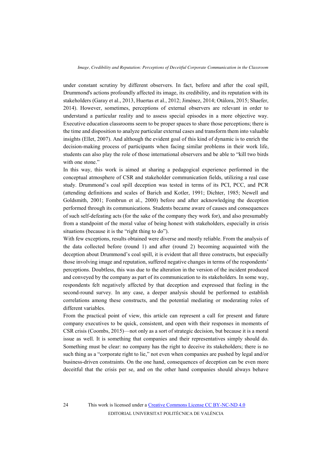under constant scrutiny by different observers. In fact, before and after the coal spill, Drummond's actions profoundly affected its image, its credibility, and its reputation with its stakeholders (Garay et al., 2013, Huertas et al., 2012; Jiménez, 2014; Otálora, 2015; Shaefer, 2014). However, sometimes, perceptions of external observers are relevant in order to understand a particular reality and to assess special episodes in a more objective way. Executive education classrooms seem to be proper spaces to share those perceptions; there is the time and disposition to analyze particular external cases and transform them into valuable insights (Ellet, 2007). And although the evident goal of this kind of dynamic is to enrich the decision-making process of participants when facing similar problems in their work life, students can also play the role of those international observers and be able to "kill two birds with one stone."

In this way, this work is aimed at sharing a pedagogical experience performed in the conceptual atmosphere of CSR and stakeholder communication fields, utilizing a real case study. Drummond's coal spill deception was tested in terms of its PCI, PCC, and PCR (attending definitions and scales of Barich and Kotler, 1991; Dichter, 1985; Newell and Goldsmith, 2001; Fombrun et al., 2000) before and after acknowledging the deception performed through its communications. Students became aware of causes and consequences of such self-defeating acts (for the sake of the company they work for), and also presumably from a standpoint of the moral value of being honest with stakeholders, especially in crisis situations (because it is the "right thing to do").

With few exceptions, results obtained were diverse and mostly reliable. From the analysis of the data collected before (round 1) and after (round 2) becoming acquainted with the deception about Drummond's coal spill, it is evident that all three constructs, but especially those involving image and reputation, suffered negative changes in terms of the respondents' perceptions. Doubtless, this was due to the alteration in the version of the incident produced and conveyed by the company as part of its communication to its stakeholders. In some way, respondents felt negatively affected by that deception and expressed that feeling in the second-round survey. In any case, a deeper analysis should be performed to establish correlations among these constructs, and the potential mediating or moderating roles of different variables.

From the practical point of view, this article can represent a call for present and future company executives to be quick, consistent, and open with their responses in moments of CSR crisis (Coombs, 2015)—not only as a sort of strategic decision, but because it is a moral issue as well. It is something that companies and their representatives simply should do. Something must be clear: no company has the right to deceive its stakeholders; there is no such thing as a "corporate right to lie," not even when companies are pushed by legal and/or business-driven constraints. On the one hand, consequences of deception can be even more deceitful that the crisis per se, and on the other hand companies should always behave

24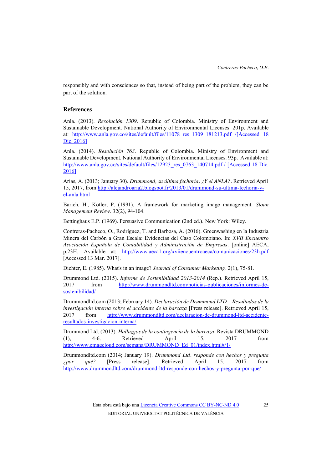responsibly and with consciences so that, instead of being part of the problem, they can be part of the solution.

## **References**

Anla. (2013). *Resolución 1309.* Republic of Colombia. Ministry of Environment and Sustainable Development. National Authority of Environmental Licenses. 201p. Available at: http://www.anla.gov.co/sites/default/files/11078\_res\_1309\_181213.pdf /[Accessed 18 Dic. 2016]

Anla. (2014). *Resolución 763.* Republic of Colombia. Ministry of Environment and Sustainable Development. National Authority of Environmental Licenses. 93p. Available at: http://www.anla.gov.co/sites/default/files/12923\_res\_0763\_140714.pdf / [Accessed 18 Dic.] 2016]

Arias, A. (2013; January 30). *Drummond, su última fechoría. ¿Y el ANLA?.* Retrieved April 15, 2017, from http://alejandroaria2.blogspot.fr/2013/01/drummond-su-ultima-fechoria-yel-anla.html

Barich, H., Kotler, P. (1991). A framework for marketing image management. *Sloan Management Review.* 32(2), 94-104.

Bettinghaus E.P. (1969). Persuasive Communication (2nd ed.). New York: Wiley.

Contreras-Pacheco, O., Rodríguez, T. and Barbosa, A. (2016). Greenwashing en la Industria Minera del Carbón a Gran Escala: Evidencias del Caso Colombiano. In: *XVII Encuentro Asociación Española de Contabilidad y Administración de Empresas*. [online] AECA, p.23H. Available at: http://www.aeca1.org/xviiencuentroaeca/comunicaciones/23h.pdf [Accessed 13 Mar. 2017].

Dichter, E. (1985). What's in an image? *Journal of Consumer Marketing.* 2(1), 75-81.

Drummond Ltd. (2015). *Informe de Sostenibilidad 2013-2014* (Rep.). Retrieved April 15, 2017 from http://www.drummondltd.com/noticias-publicaciones/informes-desostenibilidad/

Drummondltd.com (2013; February 14). *Declaración de Drummond LTD – Resultados de la investigación interna sobre el accidente de la barcaza* [Press release]. Retrieved April 15, 2017 from http://www.drummondltd.com/declaracion-de-drummond-ltd-accidenteresultados-investigacion-interna/

Drummond Ltd. (2013). *Hallazgos de la contingencia de la barcaza.* Revista DRUMMOND (1), 4-6. Retrieved April 15, 2017 from http://www.emagcloud.com/semana/DRUMMOND\_Ed\_01/index.html#/1/

Drummondltd.com (2014; January 19). *Drummond Ltd. responde con hechos y pregunta ¿por qué?* [Press release]. Retrieved April 15, 2017 from http://www.drummondltd.com/drummond-ltd-responde-con-hechos-y-pregunta-por-que/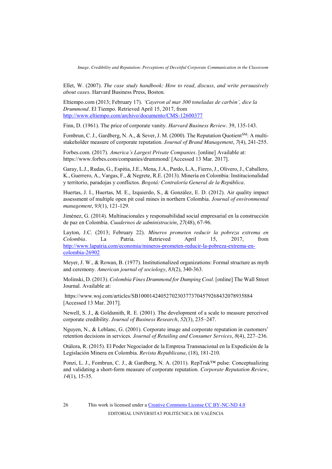Ellet, W. (2007). *The case study handbook: How to read, discuss, and write persuasively about cases*. Harvard Business Press, Boston.

Eltiempo.com (2013; February 17). *'Cayeron al mar 300 toneladas de carbón', dice la Drummond.* El Tiempo. Retrieved April 15, 2017, from http://www.eltiempo.com/archivo/documento/CMS-12600377

Finn, D. (1961). The price of corporate vanity. *Harvard Business Review.* 39, 135-143.

Fombrun, C. J., Gardberg, N. A., & Sever, J. M. (2000). The Reputation Quotient<sup>SM</sup>: A multistakeholder measure of corporate reputation. *Journal of Brand Management*, *7*(4), 241-255.

Forbes.com. (2017). *America's Largest Private Companies*. [online] Available at: https://www.forbes.com/companies/drummond/ [Accessed 13 Mar. 2017].

Garay, L.J., Rudas, G., Espitia, J.E., Mena, J.A., Pardo, L.A., Fierro, J., Olivero, J., Caballero, K., Guerrero, A., Vargas, F., & Negrete, R.E. (2013). Minería en Colombia: Institucionalidad y territorio, paradojas y conflictos. *Bogotá: Contraloría General de la República*.

Huertas, J. I., Huertas, M. E., Izquierdo, S., & González, E. D. (2012). Air quality impact assessment of multiple open pit coal mines in northern Colombia. *Journal of environmental management*, *93*(1), 121-129.

Jiménez, G. (2014). Multinacionales y responsabilidad social empresarial en la construcción de paz en Colombia. *Cuadernos de administración*, *27*(48), 67-96.

Layton, J.C. (2013; February 22). *Mineros prometen reducir la pobreza extrema en Colombia.* La Patria. Retrieved April 15, 2017, from http://www.lapatria.com/economia/mineros-prometen-reducir-la-pobreza-extrema-encolombia-26902

Meyer, J. W., & Rowan, B. (1977). Institutionalized organizations: Formal structure as myth and ceremony. *American journal of sociology*, *83*(2), 340-363.

Molinski, D. (2013). *Colombia Fines Drummond for Dumping Coal*. [online] The Wall Street Journal. Available at:

 https://www.wsj.com/articles/SB10001424052702303773704579268432078935884 [Accessed 13 Mar. 2017].

Newell, S. J., & Goldsmith, R. E. (2001). The development of a scale to measure perceived corporate credibility. *Journal of Business Research*, *52*(3), 235–247.

Nguyen, N., & Leblanc, G. (2001). Corporate image and corporate reputation in customers' retention decisions in services. *Journal of Retailing and Consumer Services*, *8*(4), 227–236.

Otálora, R. (2015). El Poder Negociador de la Empresa Transnacional en la Expedición de la Legislación Minera en Colombia. *Revista Republicana*, (18), 181-210.

Ponzi, L. J., Fombrun, C. J., & Gardberg, N. A. (2011). RepTrak™ pulse: Conceptualizing and validating a short-form measure of corporate reputation. *Corporate Reputation Review*, *14*(1), 15-35.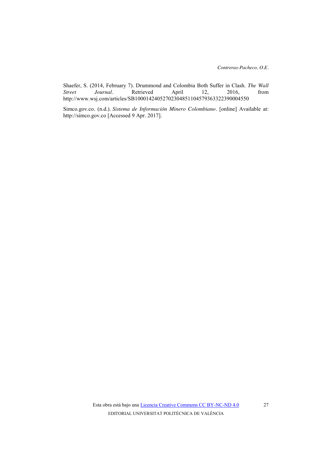Shaefer, S. (2014, February 7). Drummond and Colombia Both Suffer in Clash. *The Wall Street Journal.* Retrieved April 12, 2016, from http://www.wsj.com/articles/SB10001424052702304851104579363322390004550

Simco.gov.co. (n.d.). *Sistema de Información Minero Colombiano*. [online] Available at: http://simco.gov.co [Accessed 9 Apr. 2017].